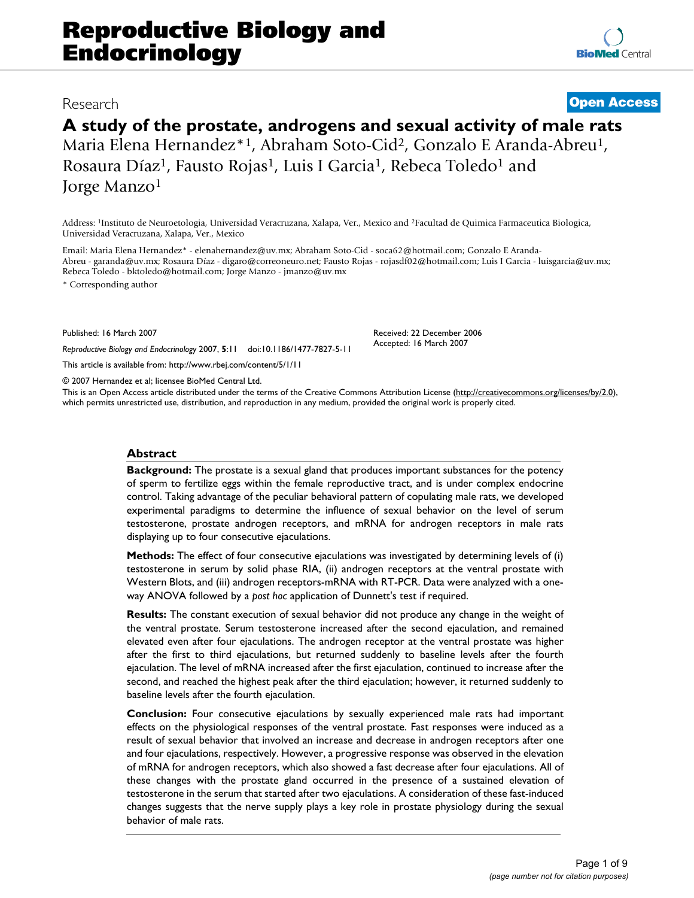## Research **[Open Access](http://www.biomedcentral.com/info/about/charter/)**

# **A study of the prostate, androgens and sexual activity of male rats** Maria Elena Hernandez\*1, Abraham Soto-Cid2, Gonzalo E Aranda-Abreu1,

Rosaura Díaz<sup>1</sup>, Fausto Rojas<sup>1</sup>, Luis I Garcia<sup>1</sup>, Rebeca Toledo<sup>1</sup> and Jorge Manzo1

Address: 1Instituto de Neuroetologia, Universidad Veracruzana, Xalapa, Ver., Mexico and 2Facultad de Quimica Farmaceutica Biologica, Universidad Veracruzana, Xalapa, Ver., Mexico

Email: Maria Elena Hernandez\* - elenahernandez@uv.mx; Abraham Soto-Cid - soca62@hotmail.com; Gonzalo E Aranda-Abreu - garanda@uv.mx; Rosaura Díaz - digaro@correoneuro.net; Fausto Rojas - rojasdf02@hotmail.com; Luis I Garcia - luisgarcia@uv.mx; Rebeca Toledo - bktoledo@hotmail.com; Jorge Manzo - jmanzo@uv.mx

\* Corresponding author

Published: 16 March 2007

*Reproductive Biology and Endocrinology* 2007, **5**:11 doi:10.1186/1477-7827-5-11

[This article is available from: http://www.rbej.com/content/5/1/11](http://www.rbej.com/content/5/1/11)

© 2007 Hernandez et al; licensee BioMed Central Ltd.

This is an Open Access article distributed under the terms of the Creative Commons Attribution License [\(http://creativecommons.org/licenses/by/2.0\)](http://creativecommons.org/licenses/by/2.0), which permits unrestricted use, distribution, and reproduction in any medium, provided the original work is properly cited.

Received: 22 December 2006 Accepted: 16 March 2007

#### **Abstract**

**Background:** The prostate is a sexual gland that produces important substances for the potency of sperm to fertilize eggs within the female reproductive tract, and is under complex endocrine control. Taking advantage of the peculiar behavioral pattern of copulating male rats, we developed experimental paradigms to determine the influence of sexual behavior on the level of serum testosterone, prostate androgen receptors, and mRNA for androgen receptors in male rats displaying up to four consecutive ejaculations.

**Methods:** The effect of four consecutive ejaculations was investigated by determining levels of (i) testosterone in serum by solid phase RIA, (ii) androgen receptors at the ventral prostate with Western Blots, and (iii) androgen receptors-mRNA with RT-PCR. Data were analyzed with a oneway ANOVA followed by a *post hoc* application of Dunnett's test if required.

**Results:** The constant execution of sexual behavior did not produce any change in the weight of the ventral prostate. Serum testosterone increased after the second ejaculation, and remained elevated even after four ejaculations. The androgen receptor at the ventral prostate was higher after the first to third ejaculations, but returned suddenly to baseline levels after the fourth ejaculation. The level of mRNA increased after the first ejaculation, continued to increase after the second, and reached the highest peak after the third ejaculation; however, it returned suddenly to baseline levels after the fourth ejaculation.

**Conclusion:** Four consecutive ejaculations by sexually experienced male rats had important effects on the physiological responses of the ventral prostate. Fast responses were induced as a result of sexual behavior that involved an increase and decrease in androgen receptors after one and four ejaculations, respectively. However, a progressive response was observed in the elevation of mRNA for androgen receptors, which also showed a fast decrease after four ejaculations. All of these changes with the prostate gland occurred in the presence of a sustained elevation of testosterone in the serum that started after two ejaculations. A consideration of these fast-induced changes suggests that the nerve supply plays a key role in prostate physiology during the sexual behavior of male rats.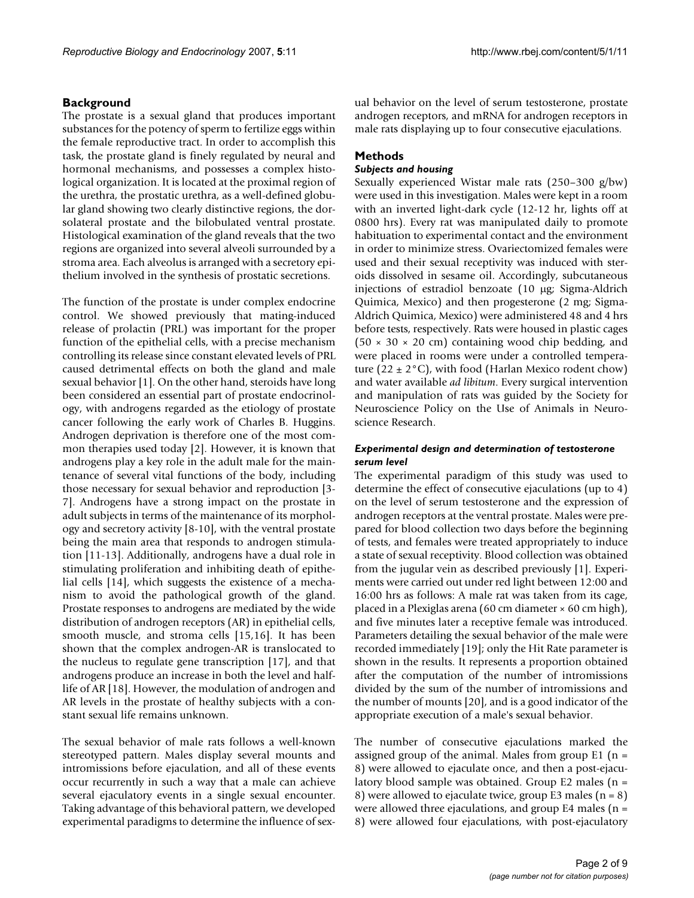### **Background**

The prostate is a sexual gland that produces important substances for the potency of sperm to fertilize eggs within the female reproductive tract. In order to accomplish this task, the prostate gland is finely regulated by neural and hormonal mechanisms, and possesses a complex histological organization. It is located at the proximal region of the urethra, the prostatic urethra, as a well-defined globular gland showing two clearly distinctive regions, the dorsolateral prostate and the bilobulated ventral prostate. Histological examination of the gland reveals that the two regions are organized into several alveoli surrounded by a stroma area. Each alveolus is arranged with a secretory epithelium involved in the synthesis of prostatic secretions.

The function of the prostate is under complex endocrine control. We showed previously that mating-induced release of prolactin (PRL) was important for the proper function of the epithelial cells, with a precise mechanism controlling its release since constant elevated levels of PRL caused detrimental effects on both the gland and male sexual behavior [1]. On the other hand, steroids have long been considered an essential part of prostate endocrinology, with androgens regarded as the etiology of prostate cancer following the early work of Charles B. Huggins. Androgen deprivation is therefore one of the most common therapies used today [2]. However, it is known that androgens play a key role in the adult male for the maintenance of several vital functions of the body, including those necessary for sexual behavior and reproduction [3- 7]. Androgens have a strong impact on the prostate in adult subjects in terms of the maintenance of its morphology and secretory activity [8-10], with the ventral prostate being the main area that responds to androgen stimulation [11-13]. Additionally, androgens have a dual role in stimulating proliferation and inhibiting death of epithelial cells [14], which suggests the existence of a mechanism to avoid the pathological growth of the gland. Prostate responses to androgens are mediated by the wide distribution of androgen receptors (AR) in epithelial cells, smooth muscle, and stroma cells [15,16]. It has been shown that the complex androgen-AR is translocated to the nucleus to regulate gene transcription [17], and that androgens produce an increase in both the level and halflife of AR [18]. However, the modulation of androgen and AR levels in the prostate of healthy subjects with a constant sexual life remains unknown.

The sexual behavior of male rats follows a well-known stereotyped pattern. Males display several mounts and intromissions before ejaculation, and all of these events occur recurrently in such a way that a male can achieve several ejaculatory events in a single sexual encounter. Taking advantage of this behavioral pattern, we developed experimental paradigms to determine the influence of sexual behavior on the level of serum testosterone, prostate androgen receptors, and mRNA for androgen receptors in male rats displaying up to four consecutive ejaculations.

### **Methods**

### *Subjects and housing*

Sexually experienced Wistar male rats (250–300 g/bw) were used in this investigation. Males were kept in a room with an inverted light-dark cycle (12-12 hr, lights off at 0800 hrs). Every rat was manipulated daily to promote habituation to experimental contact and the environment in order to minimize stress. Ovariectomized females were used and their sexual receptivity was induced with steroids dissolved in sesame oil. Accordingly, subcutaneous injections of estradiol benzoate (10 µg; Sigma-Aldrich Quimica, Mexico) and then progesterone (2 mg; Sigma-Aldrich Quimica, Mexico) were administered 48 and 4 hrs before tests, respectively. Rats were housed in plastic cages  $(50 \times 30 \times 20$  cm) containing wood chip bedding, and were placed in rooms were under a controlled temperature (22  $\pm$  2°C), with food (Harlan Mexico rodent chow) and water available *ad libitum*. Every surgical intervention and manipulation of rats was guided by the Society for Neuroscience Policy on the Use of Animals in Neuroscience Research.

### *Experimental design and determination of testosterone serum level*

The experimental paradigm of this study was used to determine the effect of consecutive ejaculations (up to 4) on the level of serum testosterone and the expression of androgen receptors at the ventral prostate. Males were prepared for blood collection two days before the beginning of tests, and females were treated appropriately to induce a state of sexual receptivity. Blood collection was obtained from the jugular vein as described previously [1]. Experiments were carried out under red light between 12:00 and 16:00 hrs as follows: A male rat was taken from its cage, placed in a Plexiglas arena (60 cm diameter × 60 cm high), and five minutes later a receptive female was introduced. Parameters detailing the sexual behavior of the male were recorded immediately [19]; only the Hit Rate parameter is shown in the results. It represents a proportion obtained after the computation of the number of intromissions divided by the sum of the number of intromissions and the number of mounts [20], and is a good indicator of the appropriate execution of a male's sexual behavior.

The number of consecutive ejaculations marked the assigned group of the animal. Males from group  $E1$  (n = 8) were allowed to ejaculate once, and then a post-ejaculatory blood sample was obtained. Group E2 males (n = 8) were allowed to ejaculate twice, group E3 males (n = 8) were allowed three ejaculations, and group E4 males ( $n =$ 8) were allowed four ejaculations, with post-ejaculatory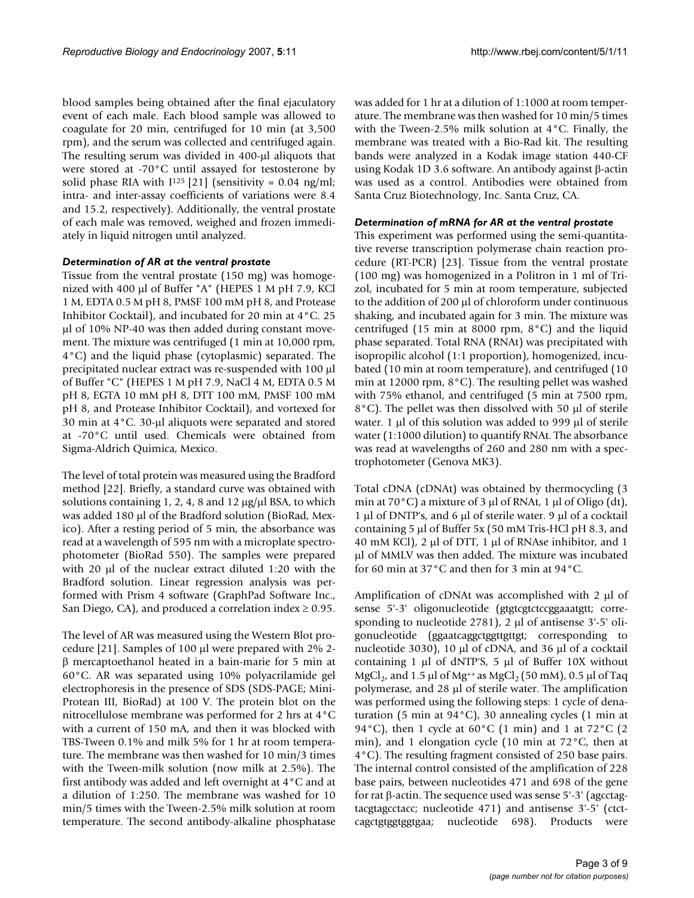blood samples being obtained after the final ejaculatory event of each male. Each blood sample was allowed to coagulate for 20 min, centrifuged for 10 min (at 3,500 rpm), and the serum was collected and centrifuged again. The resulting serum was divided in 400-µl aliquots that were stored at -70°C until assayed for testosterone by solid phase RIA with  $I^{125}$  [21] (sensitivity = 0.04 ng/ml; intra- and inter-assay coefficients of variations were 8.4 and 15.2, respectively). Additionally, the ventral prostate of each male was removed, weighed and frozen immediately in liquid nitrogen until analyzed.

### *Determination of AR at the ventral prostate*

Tissue from the ventral prostate (150 mg) was homogenized with 400 µl of Buffer "A" (HEPES 1 M pH 7.9, KCl 1 M, EDTA 0.5 M pH 8, PMSF 100 mM pH 8, and Protease Inhibitor Cocktail), and incubated for 20 min at 4°C. 25 µl of 10% NP-40 was then added during constant movement. The mixture was centrifuged (1 min at 10,000 rpm, 4°C) and the liquid phase (cytoplasmic) separated. The precipitated nuclear extract was re-suspended with 100 µl of Buffer "C" (HEPES 1 M pH 7.9, NaCl 4 M, EDTA 0.5 M pH 8, EGTA 10 mM pH 8, DTT 100 mM, PMSF 100 mM pH 8, and Protease Inhibitor Cocktail), and vortexed for 30 min at 4°C. 30-µl aliquots were separated and stored at -70°C until used. Chemicals were obtained from Sigma-Aldrich Quimica, Mexico.

The level of total protein was measured using the Bradford method [22]. Briefly, a standard curve was obtained with solutions containing 1, 2, 4, 8 and 12  $\mu$ g/ $\mu$ l BSA, to which was added 180 µl of the Bradford solution (BioRad, Mexico). After a resting period of 5 min, the absorbance was read at a wavelength of 595 nm with a microplate spectrophotometer (BioRad 550). The samples were prepared with 20 µl of the nuclear extract diluted 1:20 with the Bradford solution. Linear regression analysis was performed with Prism 4 software (GraphPad Software Inc., San Diego, CA), and produced a correlation index  $\geq 0.95$ .

The level of AR was measured using the Western Blot procedure [21]. Samples of 100 µl were prepared with 2% 2 β mercaptoethanol heated in a bain-marie for 5 min at 60°C. AR was separated using 10% polyacrilamide gel electrophoresis in the presence of SDS (SDS-PAGE; Mini-Protean III, BioRad) at 100 V. The protein blot on the nitrocellulose membrane was performed for 2 hrs at 4°C with a current of 150 mA, and then it was blocked with TBS-Tween 0.1% and milk 5% for 1 hr at room temperature. The membrane was then washed for 10 min/3 times with the Tween-milk solution (now milk at 2.5%). The first antibody was added and left overnight at 4°C and at a dilution of 1:250. The membrane was washed for 10 min/5 times with the Tween-2.5% milk solution at room temperature. The second antibody-alkaline phosphatase

was added for 1 hr at a dilution of 1:1000 at room temperature. The membrane was then washed for 10 min/5 times with the Tween-2.5% milk solution at 4°C. Finally, the membrane was treated with a Bio-Rad kit. The resulting bands were analyzed in a Kodak image station 440-CF using Kodak 1D 3.6 software. An antibody against β-actin was used as a control. Antibodies were obtained from Santa Cruz Biotechnology, Inc. Santa Cruz, CA.

### *Determination of mRNA for AR at the ventral prostate*

This experiment was performed using the semi-quantitative reverse transcription polymerase chain reaction procedure (RT-PCR) [23]. Tissue from the ventral prostate (100 mg) was homogenized in a Politron in 1 ml of Trizol, incubated for 5 min at room temperature, subjected to the addition of 200 µl of chloroform under continuous shaking, and incubated again for 3 min. The mixture was centrifuged (15 min at 8000 rpm, 8°C) and the liquid phase separated. Total RNA (RNAt) was precipitated with isopropilic alcohol (1:1 proportion), homogenized, incubated (10 min at room temperature), and centrifuged (10 min at 12000 rpm, 8°C). The resulting pellet was washed with 75% ethanol, and centrifuged (5 min at 7500 rpm, 8°C). The pellet was then dissolved with 50 µl of sterile water. 1  $\mu$ l of this solution was added to 999  $\mu$ l of sterile water (1:1000 dilution) to quantify RNAt. The absorbance was read at wavelengths of 260 and 280 nm with a spectrophotometer (Genova MK3).

Total cDNA (cDNAt) was obtained by thermocycling (3 min at 70 $^{\circ}$ C) a mixture of 3 µl of RNAt, 1 µl of Oligo (dt), 1  $\mu$ l of DNTP's, and 6  $\mu$ l of sterile water. 9  $\mu$ l of a cocktail containing 5 µl of Buffer 5x (50 mM Tris-HCl pH 8.3, and 40 mM KCl), 2 µl of DTT, 1 µl of RNAse inhibitor, and 1 µl of MMLV was then added. The mixture was incubated for 60 min at 37°C and then for 3 min at 94°C.

Amplification of cDNAt was accomplished with 2 µl of sense 5'-3' oligonucleotide (gtgtcgtctccggaaatgtt; corresponding to nucleotide 2781), 2 µl of antisense 3'-5' oligonucleotide (ggaatcaggctggttgttgt; corresponding to nucleotide 3030), 10 µl of cDNA, and 36 µl of a cocktail containing 1  $\mu$ l of dNTP'S, 5  $\mu$ l of Buffer 10X without MgCl<sub>2</sub>, and 1.5 µl of Mg<sup>++</sup> as MgCl<sub>2</sub> (50 mM), 0.5 µl of Taq polymerase, and 28 µl of sterile water. The amplification was performed using the following steps: 1 cycle of denaturation (5 min at 94°C), 30 annealing cycles (1 min at 94°C), then 1 cycle at 60°C (1 min) and 1 at 72°C (2 min), and 1 elongation cycle (10 min at 72°C, then at 4°C). The resulting fragment consisted of 250 base pairs. The internal control consisted of the amplification of 228 base pairs, between nucleotides 471 and 698 of the gene for rat β-actin. The sequence used was sense 5'-3' (agcctagtacgtagcctacc; nucleotide 471) and antisense 3'-5' (ctctcagctgtggtggtgaa; nucleotide 698). Products were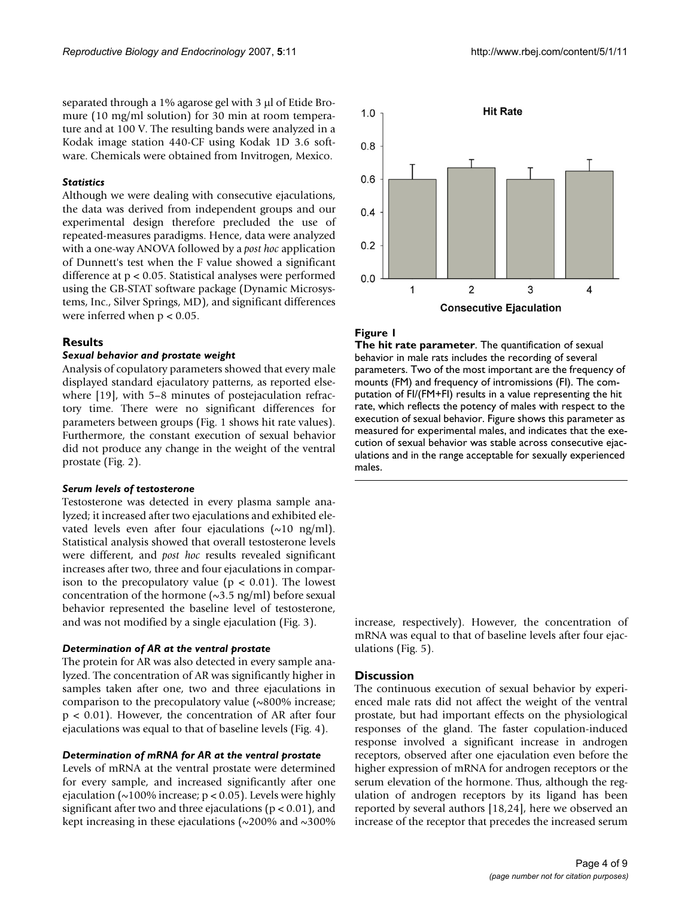separated through a 1% agarose gel with 3 µl of Etide Bromure (10 mg/ml solution) for 30 min at room temperature and at 100 V. The resulting bands were analyzed in a Kodak image station 440-CF using Kodak 1D 3.6 software. Chemicals were obtained from Invitrogen, Mexico.

#### *Statistics*

Although we were dealing with consecutive ejaculations, the data was derived from independent groups and our experimental design therefore precluded the use of repeated-measures paradigms. Hence, data were analyzed with a one-way ANOVA followed by a *post hoc* application of Dunnett's test when the F value showed a significant difference at p < 0.05. Statistical analyses were performed using the GB-STAT software package (Dynamic Microsystems, Inc., Silver Springs, MD), and significant differences were inferred when  $p < 0.05$ .

#### **Results**

#### *Sexual behavior and prostate weight*

Analysis of copulatory parameters showed that every male displayed standard ejaculatory patterns, as reported elsewhere [19], with 5–8 minutes of postejaculation refractory time. There were no significant differences for parameters between groups (Fig. 1 shows hit rate values). Furthermore, the constant execution of sexual behavior did not produce any change in the weight of the ventral prostate (Fig. 2).

#### *Serum levels of testosterone*

Testosterone was detected in every plasma sample analyzed; it increased after two ejaculations and exhibited elevated levels even after four ejaculations  $(\sim 10 \text{ ng/ml})$ . Statistical analysis showed that overall testosterone levels were different, and *post hoc* results revealed significant increases after two, three and four ejaculations in comparison to the precopulatory value ( $p < 0.01$ ). The lowest concentration of the hormone  $(\sim 3.5 \text{ ng/ml})$  before sexual behavior represented the baseline level of testosterone, and was not modified by a single ejaculation (Fig. 3).

#### *Determination of AR at the ventral prostate*

The protein for AR was also detected in every sample analyzed. The concentration of AR was significantly higher in samples taken after one, two and three ejaculations in comparison to the precopulatory value (~800% increase; p < 0.01). However, the concentration of AR after four ejaculations was equal to that of baseline levels (Fig. 4).

#### *Determination of mRNA for AR at the ventral prostate*

Levels of mRNA at the ventral prostate were determined for every sample, and increased significantly after one ejaculation ( $\sim$ 100% increase; p < 0.05). Levels were highly significant after two and three ejaculations ( $p < 0.01$ ), and kept increasing in these ejaculations ( $\sim$ 200% and  $\sim$ 300%



#### **Figure 1**

**The hit rate parameter**. The quantification of sexual behavior in male rats includes the recording of several parameters. Two of the most important are the frequency of mounts (FM) and frequency of intromissions (FI). The computation of FI/(FM+FI) results in a value representing the hit rate, which reflects the potency of males with respect to the execution of sexual behavior. Figure shows this parameter as measured for experimental males, and indicates that the execution of sexual behavior was stable across consecutive ejaculations and in the range acceptable for sexually experienced males.

increase, respectively). However, the concentration of mRNA was equal to that of baseline levels after four ejaculations (Fig. 5).

#### **Discussion**

The continuous execution of sexual behavior by experienced male rats did not affect the weight of the ventral prostate, but had important effects on the physiological responses of the gland. The faster copulation-induced response involved a significant increase in androgen receptors, observed after one ejaculation even before the higher expression of mRNA for androgen receptors or the serum elevation of the hormone. Thus, although the regulation of androgen receptors by its ligand has been reported by several authors [18,24], here we observed an increase of the receptor that precedes the increased serum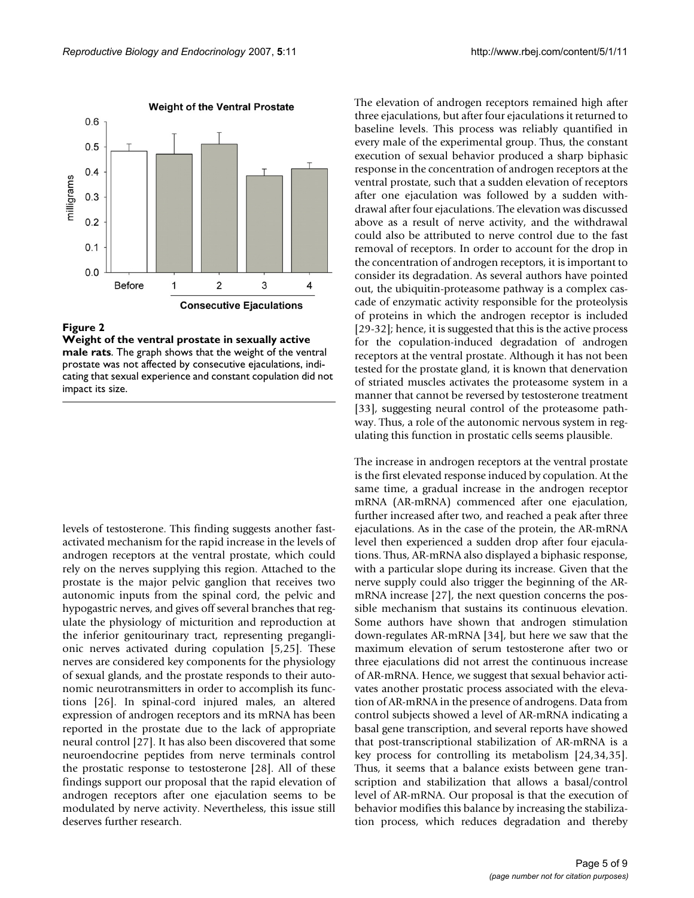

**Weight of the ventral prostate in sexually active male rats**. The graph shows that the weight of the ventral prostate was not affected by consecutive ejaculations, indicating that sexual experience and constant copulation did not impact its size.

levels of testosterone. This finding suggests another fastactivated mechanism for the rapid increase in the levels of androgen receptors at the ventral prostate, which could rely on the nerves supplying this region. Attached to the prostate is the major pelvic ganglion that receives two autonomic inputs from the spinal cord, the pelvic and hypogastric nerves, and gives off several branches that regulate the physiology of micturition and reproduction at the inferior genitourinary tract, representing preganglionic nerves activated during copulation [5,25]. These nerves are considered key components for the physiology of sexual glands, and the prostate responds to their autonomic neurotransmitters in order to accomplish its functions [26]. In spinal-cord injured males, an altered expression of androgen receptors and its mRNA has been reported in the prostate due to the lack of appropriate neural control [27]. It has also been discovered that some neuroendocrine peptides from nerve terminals control the prostatic response to testosterone [28]. All of these findings support our proposal that the rapid elevation of androgen receptors after one ejaculation seems to be modulated by nerve activity. Nevertheless, this issue still deserves further research.

The elevation of androgen receptors remained high after three ejaculations, but after four ejaculations it returned to baseline levels. This process was reliably quantified in every male of the experimental group. Thus, the constant execution of sexual behavior produced a sharp biphasic response in the concentration of androgen receptors at the ventral prostate, such that a sudden elevation of receptors after one ejaculation was followed by a sudden withdrawal after four ejaculations. The elevation was discussed above as a result of nerve activity, and the withdrawal could also be attributed to nerve control due to the fast removal of receptors. In order to account for the drop in the concentration of androgen receptors, it is important to consider its degradation. As several authors have pointed out, the ubiquitin-proteasome pathway is a complex cascade of enzymatic activity responsible for the proteolysis of proteins in which the androgen receptor is included [29-32]; hence, it is suggested that this is the active process for the copulation-induced degradation of androgen receptors at the ventral prostate. Although it has not been tested for the prostate gland, it is known that denervation of striated muscles activates the proteasome system in a manner that cannot be reversed by testosterone treatment [33], suggesting neural control of the proteasome pathway. Thus, a role of the autonomic nervous system in regulating this function in prostatic cells seems plausible.

The increase in androgen receptors at the ventral prostate is the first elevated response induced by copulation. At the same time, a gradual increase in the androgen receptor mRNA (AR-mRNA) commenced after one ejaculation, further increased after two, and reached a peak after three ejaculations. As in the case of the protein, the AR-mRNA level then experienced a sudden drop after four ejaculations. Thus, AR-mRNA also displayed a biphasic response, with a particular slope during its increase. Given that the nerve supply could also trigger the beginning of the ARmRNA increase [27], the next question concerns the possible mechanism that sustains its continuous elevation. Some authors have shown that androgen stimulation down-regulates AR-mRNA [34], but here we saw that the maximum elevation of serum testosterone after two or three ejaculations did not arrest the continuous increase of AR-mRNA. Hence, we suggest that sexual behavior activates another prostatic process associated with the elevation of AR-mRNA in the presence of androgens. Data from control subjects showed a level of AR-mRNA indicating a basal gene transcription, and several reports have showed that post-transcriptional stabilization of AR-mRNA is a key process for controlling its metabolism [24,34,35]. Thus, it seems that a balance exists between gene transcription and stabilization that allows a basal/control level of AR-mRNA. Our proposal is that the execution of behavior modifies this balance by increasing the stabilization process, which reduces degradation and thereby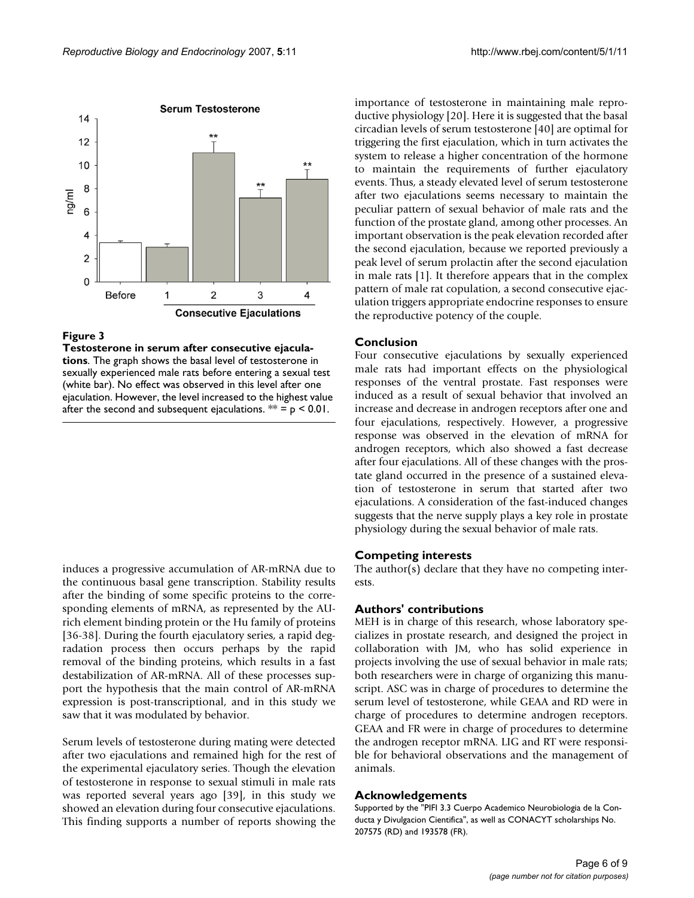

**Testosterone in serum after consecutive ejaculations**. The graph shows the basal level of testosterone in sexually experienced male rats before entering a sexual test (white bar). No effect was observed in this level after one ejaculation. However, the level increased to the highest value after the second and subsequent ejaculations.  $** = p < 0.01$ .

induces a progressive accumulation of AR-mRNA due to the continuous basal gene transcription. Stability results after the binding of some specific proteins to the corresponding elements of mRNA, as represented by the AUrich element binding protein or the Hu family of proteins [36-38]. During the fourth ejaculatory series, a rapid degradation process then occurs perhaps by the rapid removal of the binding proteins, which results in a fast destabilization of AR-mRNA. All of these processes support the hypothesis that the main control of AR-mRNA expression is post-transcriptional, and in this study we saw that it was modulated by behavior.

Serum levels of testosterone during mating were detected after two ejaculations and remained high for the rest of the experimental ejaculatory series. Though the elevation of testosterone in response to sexual stimuli in male rats was reported several years ago [39], in this study we showed an elevation during four consecutive ejaculations. This finding supports a number of reports showing the importance of testosterone in maintaining male reproductive physiology [20]. Here it is suggested that the basal circadian levels of serum testosterone [40] are optimal for triggering the first ejaculation, which in turn activates the system to release a higher concentration of the hormone to maintain the requirements of further ejaculatory events. Thus, a steady elevated level of serum testosterone after two ejaculations seems necessary to maintain the peculiar pattern of sexual behavior of male rats and the function of the prostate gland, among other processes. An important observation is the peak elevation recorded after the second ejaculation, because we reported previously a peak level of serum prolactin after the second ejaculation in male rats [1]. It therefore appears that in the complex pattern of male rat copulation, a second consecutive ejaculation triggers appropriate endocrine responses to ensure the reproductive potency of the couple.

### **Conclusion**

Four consecutive ejaculations by sexually experienced male rats had important effects on the physiological responses of the ventral prostate. Fast responses were induced as a result of sexual behavior that involved an increase and decrease in androgen receptors after one and four ejaculations, respectively. However, a progressive response was observed in the elevation of mRNA for androgen receptors, which also showed a fast decrease after four ejaculations. All of these changes with the prostate gland occurred in the presence of a sustained elevation of testosterone in serum that started after two ejaculations. A consideration of the fast-induced changes suggests that the nerve supply plays a key role in prostate physiology during the sexual behavior of male rats.

### **Competing interests**

The author(s) declare that they have no competing interests.

### **Authors' contributions**

MEH is in charge of this research, whose laboratory specializes in prostate research, and designed the project in collaboration with JM, who has solid experience in projects involving the use of sexual behavior in male rats; both researchers were in charge of organizing this manuscript. ASC was in charge of procedures to determine the serum level of testosterone, while GEAA and RD were in charge of procedures to determine androgen receptors. GEAA and FR were in charge of procedures to determine the androgen receptor mRNA. LIG and RT were responsible for behavioral observations and the management of animals.

### **Acknowledgements**

Supported by the "PIFI 3.3 Cuerpo Academico Neurobiologia de la Conducta y Divulgacion Cientifica", as well as CONACYT scholarships No. 207575 (RD) and 193578 (FR).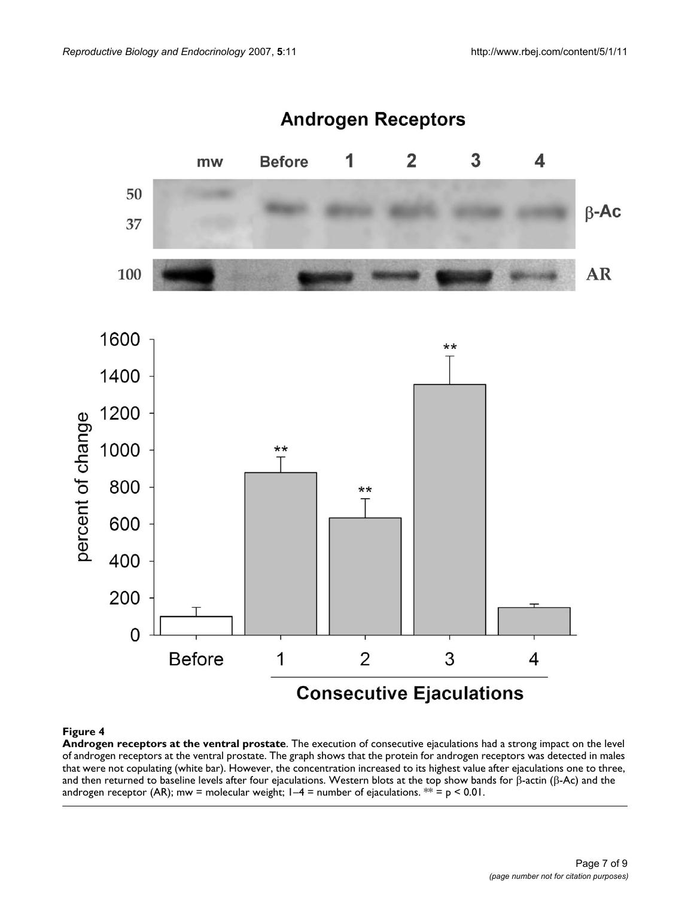

**Androgen receptors at the ventral prostate**. The execution of consecutive ejaculations had a strong impact on the level of androgen receptors at the ventral prostate. The graph shows that the protein for androgen receptors was detected in males that were not copulating (white bar). However, the concentration increased to its highest value after ejaculations one to three, and then returned to baseline levels after four ejaculations. Western blots at the top show bands for β-actin (β-Ac) and the androgen receptor (AR); mw = molecular weight;  $1-4$  = number of ejaculations. \*\* = p < 0.01.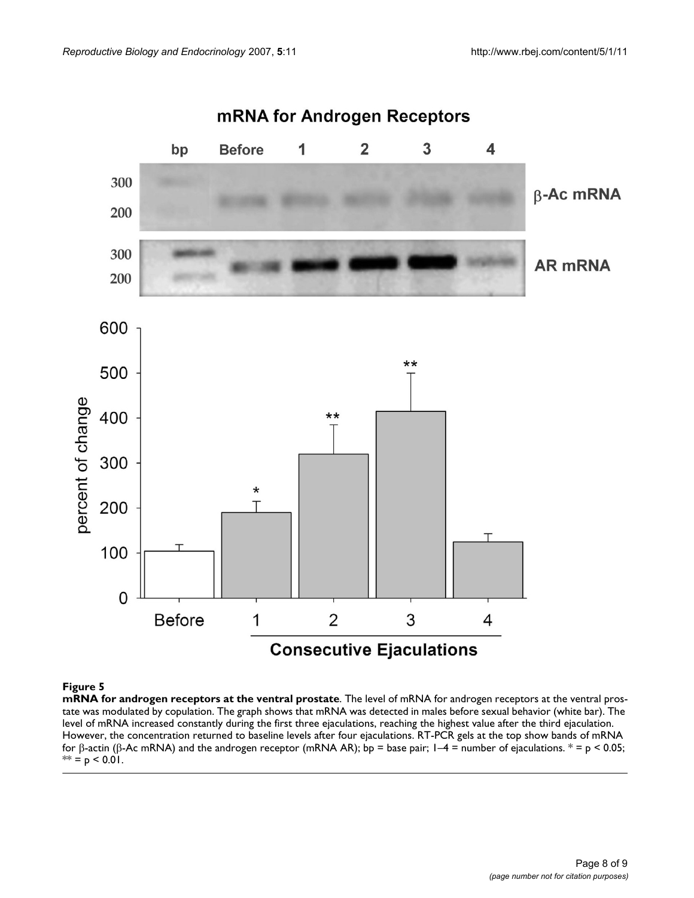

**mRNA for androgen receptors at the ventral prostate**. The level of mRNA for androgen receptors at the ventral prostate was modulated by copulation. The graph shows that mRNA was detected in males before sexual behavior (white bar). The level of mRNA increased constantly during the first three ejaculations, reaching the highest value after the third ejaculation. However, the concentration returned to baseline levels after four ejaculations. RT-PCR gels at the top show bands of mRNA for β-actin (β-Ac mRNA) and the androgen receptor (mRNA AR); bp = base pair; 1–4 = number of ejaculations.  $* = p < 0.05$ ;  $** = p < 0.01$ .